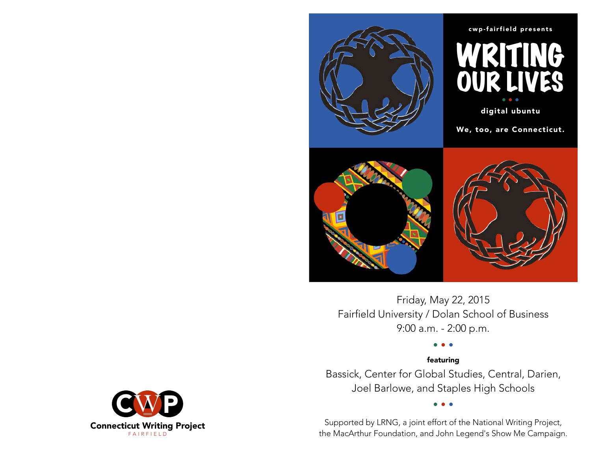

#### cwp-fairfield presents



digital ubuntu

We, too, are Connecticut.



 $\blacksquare$ Friday, May 22, 2015 Fairfield University / Dolan School of Business<br>Q:00 a m - 2:00 p m 9:00 a.m. - 2:00 p.m.

### • • • featuring

Bassick, Center for Global Studies, Central, Darien, Joel Barlowe, and Staples High Schools

Supported by LRNG, a joint effort of the National Writing Project, the MacArthur Foundation, and John Legend's Show Me Campaign.

• • •

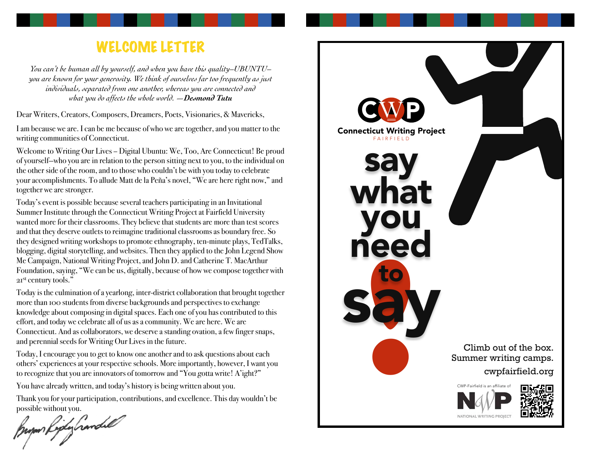# WELCOME LETTER

*You can't be human all by yourself, and when you have this quality–UBUNTU– you are known for your generosity. We think of ourselves far too frequently as just individuals, separated from one another, whereas you are connected and what you do affects the whole world. —Desmond Tutu*

Dear Writers, Creators, Composers, Dreamers, Poets, Visionaries, & Mavericks,

I am because we are. I can be me because of who we are together, and you matter to the writing communities of Connecticut.

Welcome to Writing Our Lives – Digital Ubuntu: We, Too, Are Connecticut! Be proud of yourself—who you are in relation to the person sitting next to you, to the individual on the other side of the room, and to those who couldn't be with you today to celebrate your accomplishments. To allude Matt de la Peña's novel, "We are here right now," and together we are stronger.

Today's event is possible because several teachers participating in an Invitational Summer Institute through the Connecticut Writing Project at Fairfield University wanted more for their classrooms. They believe that students are more than test scores and that they deserve outlets to reimagine traditional classrooms as boundary free. So they designed writing workshops to promote ethnography, ten-minute plays, TedTalks, blogging, digital storytelling, and websites. Then they applied to the John Legend Show Me Campaign, National Writing Project, and John D. and Catherine T. MacArthur Foundation, saying, "We can be us, digitally, because of how we compose together with 21<sup>st</sup> century tools."

Today is the culmination of a yearlong, inter-district collaboration that brought together more than 100 students from diverse backgrounds and perspectives to exchange knowledge about composing in digital spaces. Each one of you has contributed to this effort, and today we celebrate all of us as a community. We are here. We are Connecticut. And as collaborators, we deserve a standing ovation, a few finger snaps, and perennial seeds for Writing Our Lives in the future.

Today, I encourage you to get to know one another and to ask questions about each others' experiences at your respective schools. More importantly, however, I want you to recognize that you are innovators of tomorrow and "You gotta write! A'ight?"

You have already written, and today's history is being written about you.

Thank you for your participation, contributions, and excellence. This day wouldn't be possible without you.

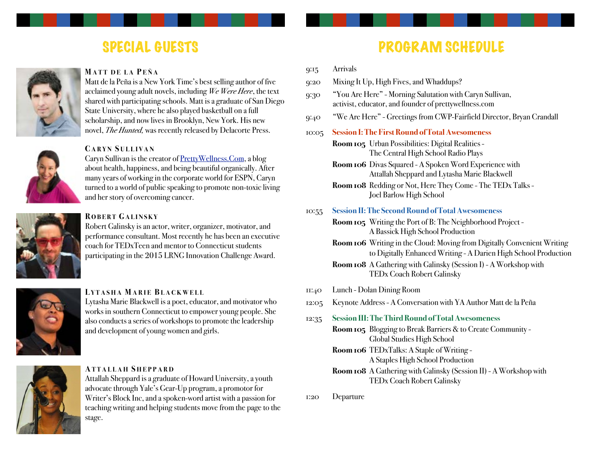# SPECIAL GUESTS



#### **MATT DE LA P EÑA**

Matt de la Peña is a New York Time's best selling author of five acclaimed young adult novels, including *We Were Here*, the text shared with participating schools. Matt is a graduate of San Diego State University, where he also played basketball on a full scholarship, and now lives in Brooklyn, New York. His new novel, *The Hunted,* was recently released by Delacorte Press.

#### **C ARYN S ULLIVAN**

Caryn Sullivan is the creator of [PrettyWellness.Com,](http://PrettyWellness.Com) a blog about health, happiness, and being beautiful organically. After many years of working in the corporate world for ESPN, Caryn turned to a world of public speaking to promote non-toxic living and her story of overcoming cancer.

### **R OBERT GALINSKY**

Robert Galinsky is an actor, writer, organizer, motivator, and performance consultant. Most recently he has been an executive coach for TEDxTeen and mentor to Connecticut students participating in the 2015 LRNG Innovation Challenge Award.

### **L YTASHA MARIE BLACKWELL**

Lytasha Marie Blackwell is a poet, educator, and motivator who works in southern Connecticut to empower young people. She also conducts a series of workshops to promote the leadership and development of young women and girls.

#### **ATTALLAH S HEPPARD**

Attallah Sheppard is a graduate of Howard University, a youth advocate through Yale's Gear-Up program, a promotor for Writer's Block Inc, and a spoken-word artist with a passion for teaching writing and helping students move from the page to the stage.

# PROGRAM SCHEDULE

- 9:15 Arrivals
- 9:20 Mixing It Up, High Fives, and Whaddups?
- 9:30 "You Are Here" Morning Salutation with Caryn Sullivan, activist, educator, and founder of [prettywellness.com](http://prettywellness.com/)
- 9:40 "We Are Here" Greetings from CWP-Fairfield Director, Bryan Crandall
- 10:05 **Session I: The First Round of Total Awesomeness**

**Room 105** Urban Possibilities: Digital Realities - The Central High School Radio Plays

**Room 106** Divas Squared - A Spoken Word Experience with ! ! Attallah Sheppard and Lytasha Marie Blackwell

**Room 108** Redding or Not, Here They Come - The TEDx Talks - Joel Barlow High School

#### 10:55 **Session II: The Second Round of Total Awesomeness**

**Room 105** Writing the Port of B: The Neighborhood Project - A Bassick High School Production

**Room 106** Writing in the Cloud: Moving from Digitally Convenient Writing to Digitally Enhanced Writing - A Darien High School Production

**Room 108** A Gathering with Galinsky (Session I) - A Workshop with TEDx Coach Robert Galinsky

- 11:40 Lunch Dolan Dining Room
- 12:05 Keynote Address A Conversation with YA Author Matt de la Peña
- 12:35 **Session III: The Third Round of Total Awesomeness**

**Room 105** Blogging to Break Barriers & to Create Community - ! ! Global Studies High School

- **Room 106** TEDxTalks: A Staple of Writing A Staples High School Production
- **Room 108** A Gathering with Galinsky (Session II) A Workshop with ! ! TEDx Coach Robert Galinsky

1:20 Departure